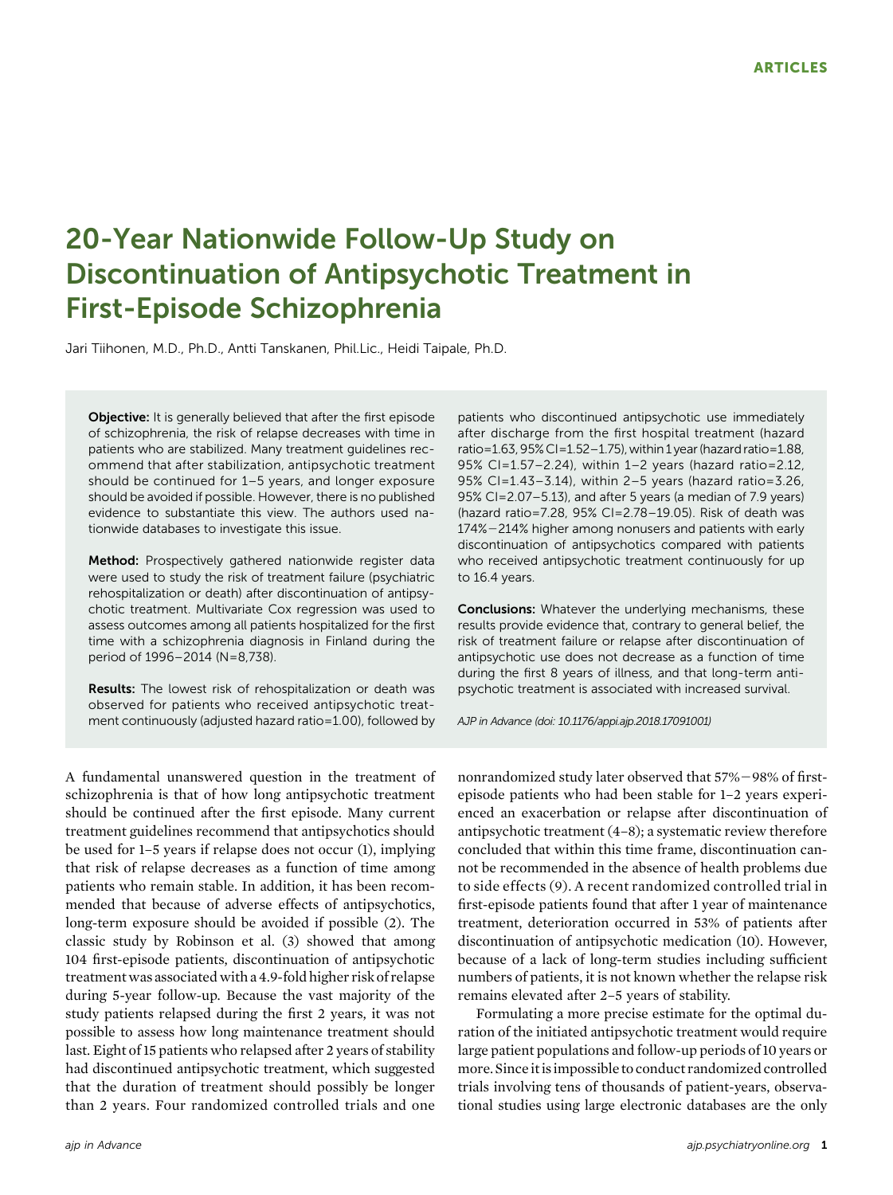# 20-Year Nationwide Follow-Up Study on Discontinuation of Antipsychotic Treatment in First-Episode Schizophrenia

Jari Tiihonen, M.D., Ph.D., Antti Tanskanen, Phil.Lic., Heidi Taipale, Ph.D.

**Objective:** It is generally believed that after the first episode of schizophrenia, the risk of relapse decreases with time in patients who are stabilized. Many treatment guidelines recommend that after stabilization, antipsychotic treatment should be continued for 1–5 years, and longer exposure should be avoided if possible. However, there is no published evidence to substantiate this view. The authors used nationwide databases to investigate this issue.

Method: Prospectively gathered nationwide register data were used to study the risk of treatment failure (psychiatric rehospitalization or death) after discontinuation of antipsychotic treatment. Multivariate Cox regression was used to assess outcomes among all patients hospitalized for the first time with a schizophrenia diagnosis in Finland during the period of 1996–2014 (N=8,738).

Results: The lowest risk of rehospitalization or death was observed for patients who received antipsychotic treatment continuously (adjusted hazard ratio=1.00), followed by

patients who discontinued antipsychotic use immediately after discharge from the first hospital treatment (hazard ratio=1.63, 95% CI=1.52–1.75), within 1 year(hazard ratio=1.88, 95% CI=1.57–2.24), within 1–2 years (hazard ratio=2.12, 95% CI=1.43–3.14), within 2–5 years (hazard ratio=3.26, 95% CI=2.07–5.13), and after 5 years (a median of 7.9 years) (hazard ratio=7.28, 95% CI=2.78–19.05). Risk of death was 174%-214% higher among nonusers and patients with early discontinuation of antipsychotics compared with patients who received antipsychotic treatment continuously for up to 16.4 years.

Conclusions: Whatever the underlying mechanisms, these results provide evidence that, contrary to general belief, the risk of treatment failure or relapse after discontinuation of antipsychotic use does not decrease as a function of time during the first 8 years of illness, and that long-term antipsychotic treatment is associated with increased survival.

AJP in Advance (doi: 10.1176/appi.ajp.2018.17091001)

A fundamental unanswered question in the treatment of schizophrenia is that of how long antipsychotic treatment should be continued after the first episode. Many current treatment guidelines recommend that antipsychotics should be used for 1–5 years if relapse does not occur (1), implying that risk of relapse decreases as a function of time among patients who remain stable. In addition, it has been recommended that because of adverse effects of antipsychotics, long-term exposure should be avoided if possible (2). The classic study by Robinson et al. (3) showed that among 104 first-episode patients, discontinuation of antipsychotic treatment was associated with a 4.9-fold higher risk of relapse during 5-year follow-up. Because the vast majority of the study patients relapsed during the first 2 years, it was not possible to assess how long maintenance treatment should last. Eight of 15 patients who relapsed after 2 years of stability had discontinued antipsychotic treatment, which suggested that the duration of treatment should possibly be longer than 2 years. Four randomized controlled trials and one nonrandomized study later observed that 57%-98% of firstepisode patients who had been stable for 1–2 years experienced an exacerbation or relapse after discontinuation of antipsychotic treatment (4–8); a systematic review therefore concluded that within this time frame, discontinuation cannot be recommended in the absence of health problems due to side effects (9). A recent randomized controlled trial in first-episode patients found that after 1 year of maintenance treatment, deterioration occurred in 53% of patients after discontinuation of antipsychotic medication (10). However, because of a lack of long-term studies including sufficient numbers of patients, it is not known whether the relapse risk remains elevated after 2–5 years of stability.

Formulating a more precise estimate for the optimal duration of the initiated antipsychotic treatment would require large patient populations and follow-up periods of 10 years or more. Since it is impossible to conduct randomized controlled trials involving tens of thousands of patient-years, observational studies using large electronic databases are the only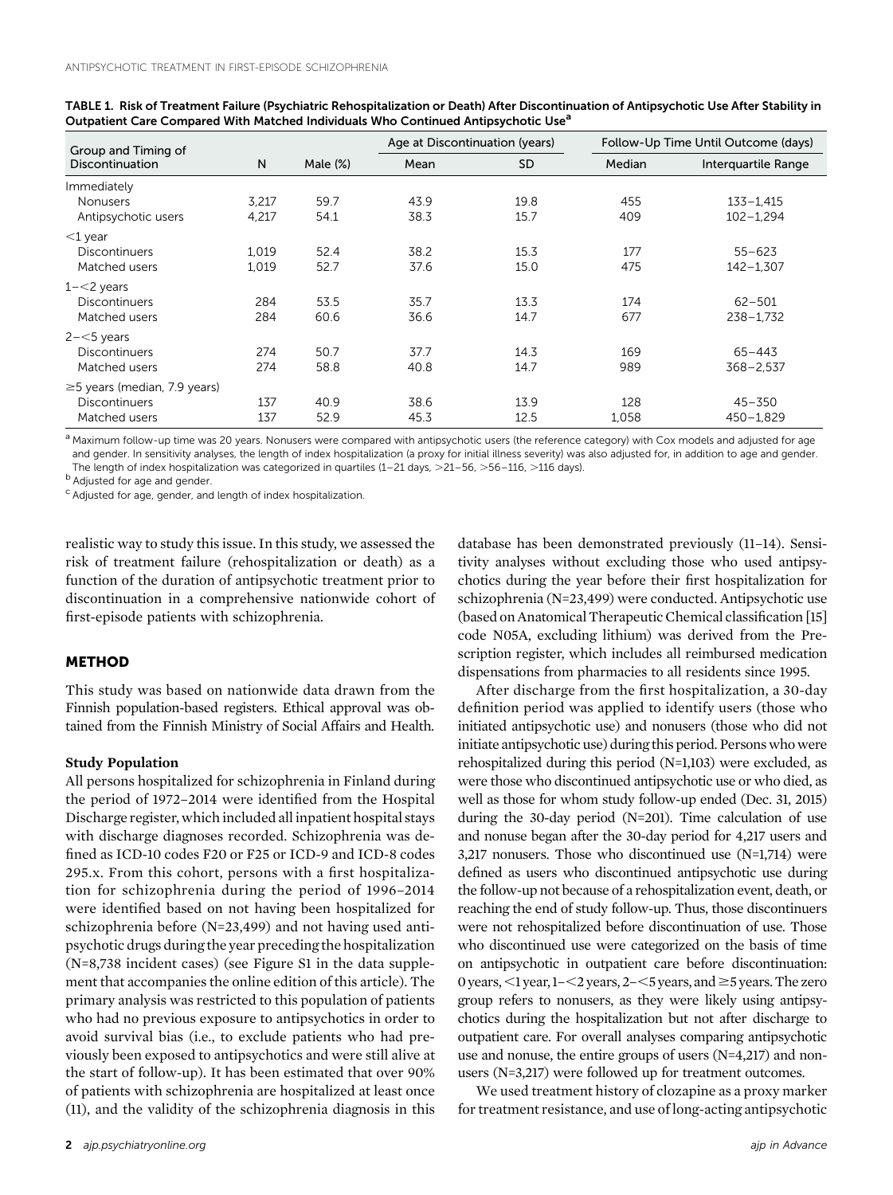| Group and Timing of                |       |             | Age at Discontinuation (years) |           | Follow-Up Time Until Outcome (days) |                     |  |  |
|------------------------------------|-------|-------------|--------------------------------|-----------|-------------------------------------|---------------------|--|--|
| Discontinuation                    | N     | Male $(\%)$ | Mean                           | <b>SD</b> | Median                              | Interguartile Range |  |  |
| Immediately                        |       |             |                                |           |                                     |                     |  |  |
| <b>Nonusers</b>                    | 3,217 | 59.7        | 43.9                           | 19.8      | 455                                 | $133 - 1,415$       |  |  |
| Antipsychotic users                | 4,217 | 54.1        | 38.3                           | 15.7      | 409                                 | $102 - 1.294$       |  |  |
| $<$ 1 year                         |       |             |                                |           |                                     |                     |  |  |
| <b>Discontinuers</b>               | 1,019 | 52.4        | 38.2                           | 15.3      | 177                                 | $55 - 623$          |  |  |
| Matched users                      | 1,019 | 52.7        | 37.6                           | 15.0      | 475                                 | 142-1.307           |  |  |
| $1 - 2$ years                      |       |             |                                |           |                                     |                     |  |  |
| <b>Discontinuers</b>               | 284   | 53.5        | 35.7                           | 13.3      | 174                                 | $62 - 501$          |  |  |
| Matched users                      | 284   | 60.6        | 36.6                           | 14.7      | 677                                 | $238 - 1.732$       |  |  |
| $2 - 5$ years                      |       |             |                                |           |                                     |                     |  |  |
| <b>Discontinuers</b>               | 274   | 50.7        | 37.7                           | 14.3      | 169                                 | $65 - 443$          |  |  |
| Matched users                      | 274   | 58.8        | 40.8                           | 14.7      | 989                                 | $368 - 2,537$       |  |  |
| $\geq$ 5 years (median, 7.9 years) |       |             |                                |           |                                     |                     |  |  |
| <b>Discontinuers</b>               | 137   | 40.9        | 38.6                           | 13.9      | 128                                 | $45 - 350$          |  |  |
| Matched users                      | 137   | 52.9        | 45.3                           | 12.5      | 1,058                               | $450 - 1,829$       |  |  |

|  |  | TABLE 1. Risk of Treatment Failure (Psychiatric Rehospitalization or Death) After Discontinuation of Antipsychotic Use After Stability in |  |  |  |  |  |
|--|--|-------------------------------------------------------------------------------------------------------------------------------------------|--|--|--|--|--|
|  |  | Outpatient Care Compared With Matched Individuals Who Continued Antipsychotic Use <sup>a</sup>                                            |  |  |  |  |  |

a Maximum follow-up time was 20 years. Nonusers were compared with antipsychotic users (the reference category) with Cox models and adjusted for age and gender. In sensitivity analyses, the length of index hospitalization (a proxy for initial illness severity) was also adjusted for, in addition to age and gender. The length of index hospitalization was categorized in quartiles (1–21 days,  $>$ 21–56,  $>$ 56–116,  $>$ 116 days). b Adjusted for age and gender.

<sup>c</sup> Adjusted for age, gender, and length of index hospitalization.

realistic way to study this issue. In this study, we assessed the risk of treatment failure (rehospitalization or death) as a function of the duration of antipsychotic treatment prior to discontinuation in a comprehensive nationwide cohort of first-episode patients with schizophrenia.

# **METHOD**

This study was based on nationwide data drawn from the Finnish population-based registers. Ethical approval was obtained from the Finnish Ministry of Social Affairs and Health.

#### Study Population

All persons hospitalized for schizophrenia in Finland during the period of 1972–2014 were identified from the Hospital Discharge register, which included all inpatient hospital stays with discharge diagnoses recorded. Schizophrenia was defined as ICD-10 codes F20 or F25 or ICD-9 and ICD-8 codes 295.x. From this cohort, persons with a first hospitalization for schizophrenia during the period of 1996–2014 were identified based on not having been hospitalized for schizophrenia before (N=23,499) and not having used antipsychotic drugs during the year preceding the hospitalization (N=8,738 incident cases) (see Figure S1 in the data supplement that accompanies the online edition of this article). The primary analysis was restricted to this population of patients who had no previous exposure to antipsychotics in order to avoid survival bias (i.e., to exclude patients who had previously been exposed to antipsychotics and were still alive at the start of follow-up). It has been estimated that over 90% of patients with schizophrenia are hospitalized at least once (11), and the validity of the schizophrenia diagnosis in this

database has been demonstrated previously (11–14). Sensitivity analyses without excluding those who used antipsychotics during the year before their first hospitalization for schizophrenia (N=23,499) were conducted. Antipsychotic use (based on Anatomical Therapeutic Chemical classification [15] code N05A, excluding lithium) was derived from the Prescription register, which includes all reimbursed medication dispensations from pharmacies to all residents since 1995.

After discharge from the first hospitalization, a 30-day definition period was applied to identify users (those who initiated antipsychotic use) and nonusers (those who did not initiate antipsychotic use) during this period. Persons who were rehospitalized during this period (N=1,103) were excluded, as were those who discontinued antipsychotic use or who died, as well as those for whom study follow-up ended (Dec. 31, 2015) during the 30-day period (N=201). Time calculation of use and nonuse began after the 30-day period for 4,217 users and 3,217 nonusers. Those who discontinued use (N=1,714) were defined as users who discontinued antipsychotic use during the follow-up not because of a rehospitalization event, death, or reaching the end of study follow-up. Thus, those discontinuers were not rehospitalized before discontinuation of use. Those who discontinued use were categorized on the basis of time on antipsychotic in outpatient care before discontinuation: 0 years,  $\leq$ 1 year, 1– $\leq$ 2 years, 2– $\leq$ 5 years, and  $\geq$ 5 years. The zero group refers to nonusers, as they were likely using antipsychotics during the hospitalization but not after discharge to outpatient care. For overall analyses comparing antipsychotic use and nonuse, the entire groups of users (N=4,217) and nonusers (N=3,217) were followed up for treatment outcomes.

We used treatment history of clozapine as a proxy marker for treatment resistance, and use of long-acting antipsychotic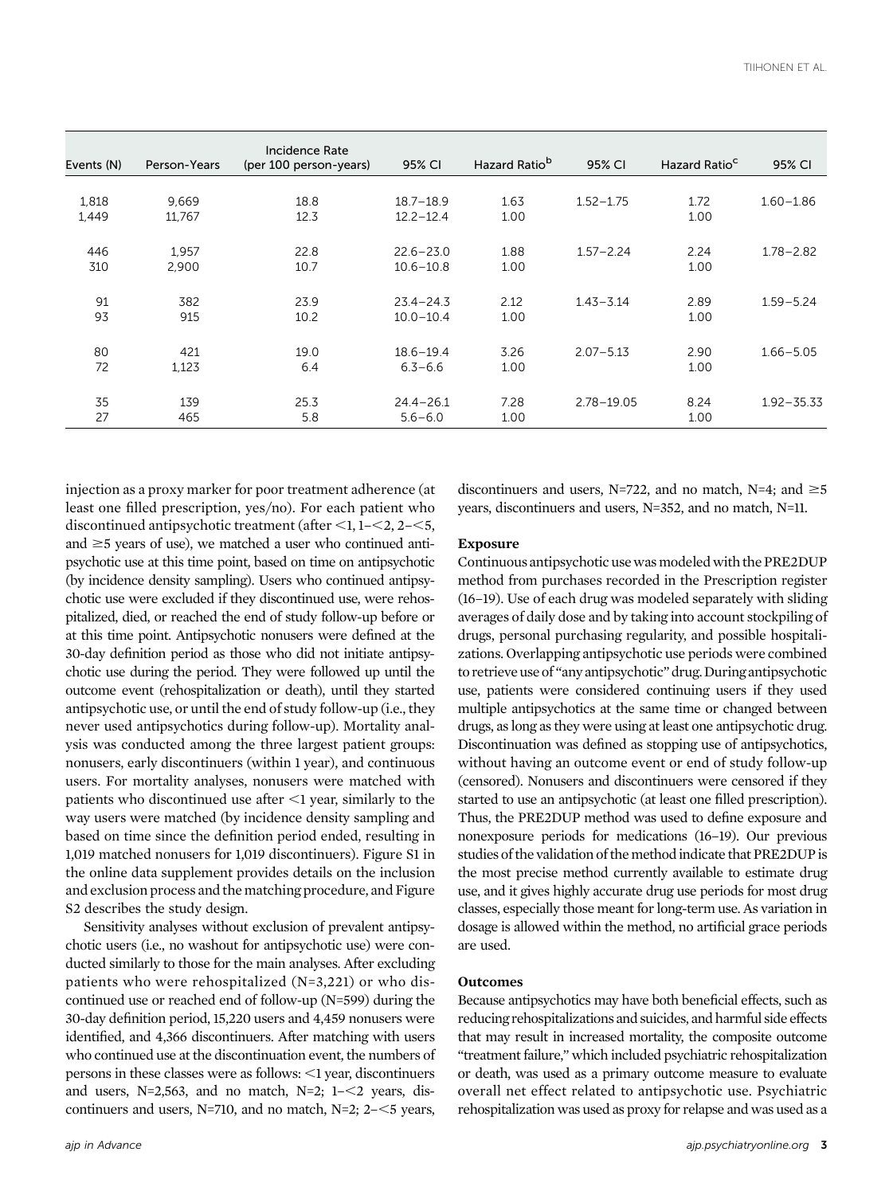| Events (N)     | Person-Years    | <b>Incidence Rate</b><br>(per 100 person-years) | 95% CI                         | Hazard Ratio <sup>b</sup> | 95% CI         | Hazard Ratio <sup>c</sup> | 95% CI         |
|----------------|-----------------|-------------------------------------------------|--------------------------------|---------------------------|----------------|---------------------------|----------------|
| 1,818<br>1,449 | 9,669<br>11,767 | 18.8<br>12.3                                    | $18.7 - 18.9$<br>$12.2 - 12.4$ | 1.63<br>1.00              | $1.52 - 1.75$  | 1.72<br>1.00              | $1.60 - 1.86$  |
| 446<br>310     | 1,957<br>2.900  | 22.8<br>10.7                                    | $22.6 - 23.0$<br>$10.6 - 10.8$ | 1.88<br>1.00              | $1.57 - 2.24$  | 2.24<br>1.00              | $1.78 - 2.82$  |
| 91<br>93       | 382<br>915      | 23.9<br>10.2                                    | $23.4 - 24.3$<br>$10.0 - 10.4$ | 2.12<br>1.00              | $1.43 - 3.14$  | 2.89<br>1.00              | $1.59 - 5.24$  |
| 80<br>72       | 421<br>1,123    | 19.0<br>6.4                                     | $18.6 - 19.4$<br>$6.3 - 6.6$   | 3.26<br>1.00              | $2.07 - 5.13$  | 2.90<br>1.00              | $1.66 - 5.05$  |
| 35<br>27       | 139<br>465      | 25.3<br>5.8                                     | $24.4 - 26.1$<br>$5.6 - 6.0$   | 7.28<br>1.00              | $2.78 - 19.05$ | 8.24<br>1.00              | $1.92 - 35.33$ |

injection as a proxy marker for poor treatment adherence (at least one filled prescription, yes/no). For each patient who discontinued antipsychotic treatment (after  $\leq 1, 1-\leq 2, 2-\leq 5$ , and  $\geq$  5 years of use), we matched a user who continued antipsychotic use at this time point, based on time on antipsychotic (by incidence density sampling). Users who continued antipsychotic use were excluded if they discontinued use, were rehospitalized, died, or reached the end of study follow-up before or at this time point. Antipsychotic nonusers were defined at the 30-day definition period as those who did not initiate antipsychotic use during the period. They were followed up until the outcome event (rehospitalization or death), until they started antipsychotic use, or until the end of study follow-up (i.e., they never used antipsychotics during follow-up). Mortality analysis was conducted among the three largest patient groups: nonusers, early discontinuers (within 1 year), and continuous users. For mortality analyses, nonusers were matched with patients who discontinued use after  $\leq 1$  year, similarly to the way users were matched (by incidence density sampling and based on time since the definition period ended, resulting in 1,019 matched nonusers for 1,019 discontinuers). Figure S1 in the online data supplement provides details on the inclusion and exclusion process and the matching procedure, and Figure S2 describes the study design.

Sensitivity analyses without exclusion of prevalent antipsychotic users (i.e., no washout for antipsychotic use) were conducted similarly to those for the main analyses. After excluding patients who were rehospitalized (N=3,221) or who discontinued use or reached end of follow-up (N=599) during the 30-day definition period, 15,220 users and 4,459 nonusers were identified, and 4,366 discontinuers. After matching with users who continued use at the discontinuation event, the numbers of persons in these classes were as follows:  $\leq$ 1 year, discontinuers and users, N=2,563, and no match, N=2;  $1 - \leq 2$  years, discontinuers and users, N=710, and no match, N=2;  $2-5$  years,

discontinuers and users, N=722, and no match, N=4; and  $\geq 5$ years, discontinuers and users, N=352, and no match, N=11.

## Exposure

Continuous antipsychotic use was modeled with the PRE2DUP method from purchases recorded in the Prescription register (16–19). Use of each drug was modeled separately with sliding averages of daily dose and by taking into account stockpiling of drugs, personal purchasing regularity, and possible hospitalizations. Overlapping antipsychotic use periods were combined to retrieve use of "anyantipsychotic"drug. During antipsychotic use, patients were considered continuing users if they used multiple antipsychotics at the same time or changed between drugs, as long as they were using at least one antipsychotic drug. Discontinuation was defined as stopping use of antipsychotics, without having an outcome event or end of study follow-up (censored). Nonusers and discontinuers were censored if they started to use an antipsychotic (at least one filled prescription). Thus, the PRE2DUP method was used to define exposure and nonexposure periods for medications (16–19). Our previous studies of the validation of the method indicate that PRE2DUP is the most precise method currently available to estimate drug use, and it gives highly accurate drug use periods for most drug classes, especially those meant for long-term use. As variation in dosage is allowed within the method, no artificial grace periods are used.

## **Outcomes**

Because antipsychotics may have both beneficial effects, such as reducing rehospitalizations and suicides, and harmful side effects that may result in increased mortality, the composite outcome "treatment failure," which included psychiatric rehospitalization or death, was used as a primary outcome measure to evaluate overall net effect related to antipsychotic use. Psychiatric rehospitalization was used as proxy for relapse and was used as a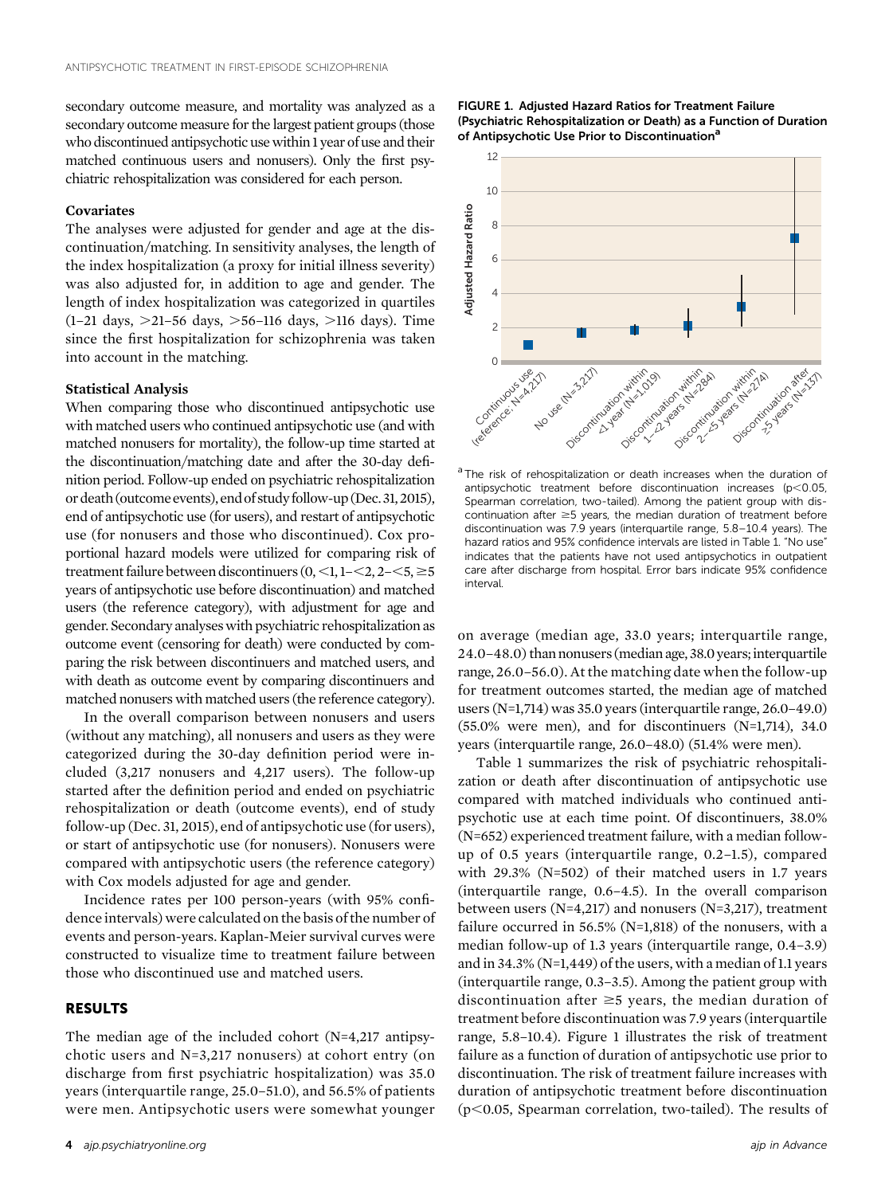secondary outcome measure, and mortality was analyzed as a secondary outcome measure for the largest patient groups (those who discontinued antipsychotic use within 1 year of use and their matched continuous users and nonusers). Only the first psychiatric rehospitalization was considered for each person.

#### Covariates

The analyses were adjusted for gender and age at the discontinuation/matching. In sensitivity analyses, the length of the index hospitalization (a proxy for initial illness severity) was also adjusted for, in addition to age and gender. The length of index hospitalization was categorized in quartiles  $(1-21 \text{ days}, >21-56 \text{ days}, >56-116 \text{ days}, >116 \text{ days}).$  Time since the first hospitalization for schizophrenia was taken into account in the matching.

## Statistical Analysis

When comparing those who discontinued antipsychotic use with matched users who continued antipsychotic use (and with matched nonusers for mortality), the follow-up time started at the discontinuation/matching date and after the 30-day definition period. Follow-up ended on psychiatric rehospitalization or death (outcome events), end of study follow-up (Dec. 31, 2015), end of antipsychotic use (for users), and restart of antipsychotic use (for nonusers and those who discontinued). Cox proportional hazard models were utilized for comparing risk of treatment failure between discontinuers  $(0, <1, 1-<2, 2-<5, \geq 5$ years of antipsychotic use before discontinuation) and matched users (the reference category), with adjustment for age and gender. Secondary analyses with psychiatric rehospitalization as outcome event (censoring for death) were conducted by comparing the risk between discontinuers and matched users, and with death as outcome event by comparing discontinuers and matched nonusers with matched users (the reference category).

In the overall comparison between nonusers and users (without any matching), all nonusers and users as they were categorized during the 30-day definition period were included (3,217 nonusers and 4,217 users). The follow-up started after the definition period and ended on psychiatric rehospitalization or death (outcome events), end of study follow-up (Dec. 31, 2015), end of antipsychotic use (for users), or start of antipsychotic use (for nonusers). Nonusers were compared with antipsychotic users (the reference category) with Cox models adjusted for age and gender.

Incidence rates per 100 person-years (with 95% confidence intervals) were calculated on the basis of the number of events and person-years. Kaplan-Meier survival curves were constructed to visualize time to treatment failure between those who discontinued use and matched users.

## RESULTS

The median age of the included cohort (N=4,217 antipsychotic users and N=3,217 nonusers) at cohort entry (on discharge from first psychiatric hospitalization) was 35.0 years (interquartile range, 25.0–51.0), and 56.5% of patients were men. Antipsychotic users were somewhat younger

#### FIGURE 1. Adjusted Hazard Ratios for Treatment Failure (Psychiatric Rehospitalization or Death) as a Function of Duration of Antipsychotic Use Prior to Discontinuation<sup>a</sup>



<sup>a</sup> The risk of rehospitalization or death increases when the duration of antipsychotic treatment before discontinuation increases ( $p$ <0.05, Spearman correlation, two-tailed). Among the patient group with discontinuation after  $\geq$ 5 years, the median duration of treatment before discontinuation was 7.9 years (interquartile range, 5.8–10.4 years). The hazard ratios and 95% confidence intervals are listed in Table 1. "No use" indicates that the patients have not used antipsychotics in outpatient care after discharge from hospital. Error bars indicate 95% confidence interval.

on average (median age, 33.0 years; interquartile range, 24.0–48.0) than nonusers (median age, 38.0years;interquartile range, 26.0–56.0). At the matching date when the follow-up for treatment outcomes started, the median age of matched users (N=1,714) was 35.0 years (interquartile range, 26.0–49.0) (55.0% were men), and for discontinuers (N=1,714), 34.0 years (interquartile range, 26.0–48.0) (51.4% were men).

Table 1 summarizes the risk of psychiatric rehospitalization or death after discontinuation of antipsychotic use compared with matched individuals who continued antipsychotic use at each time point. Of discontinuers, 38.0% (N=652) experienced treatment failure, with a median followup of 0.5 years (interquartile range, 0.2–1.5), compared with 29.3% (N=502) of their matched users in 1.7 years (interquartile range, 0.6–4.5). In the overall comparison between users (N=4,217) and nonusers (N=3,217), treatment failure occurred in 56.5% (N=1,818) of the nonusers, with a median follow-up of 1.3 years (interquartile range, 0.4–3.9) and in 34.3% (N=1,449) of the users, with a median of 1.1 years (interquartile range, 0.3–3.5). Among the patient group with discontinuation after  $\geq$ 5 years, the median duration of treatment before discontinuation was 7.9 years (interquartile range, 5.8–10.4). Figure 1 illustrates the risk of treatment failure as a function of duration of antipsychotic use prior to discontinuation. The risk of treatment failure increases with duration of antipsychotic treatment before discontinuation  $(p<0.05,$  Spearman correlation, two-tailed). The results of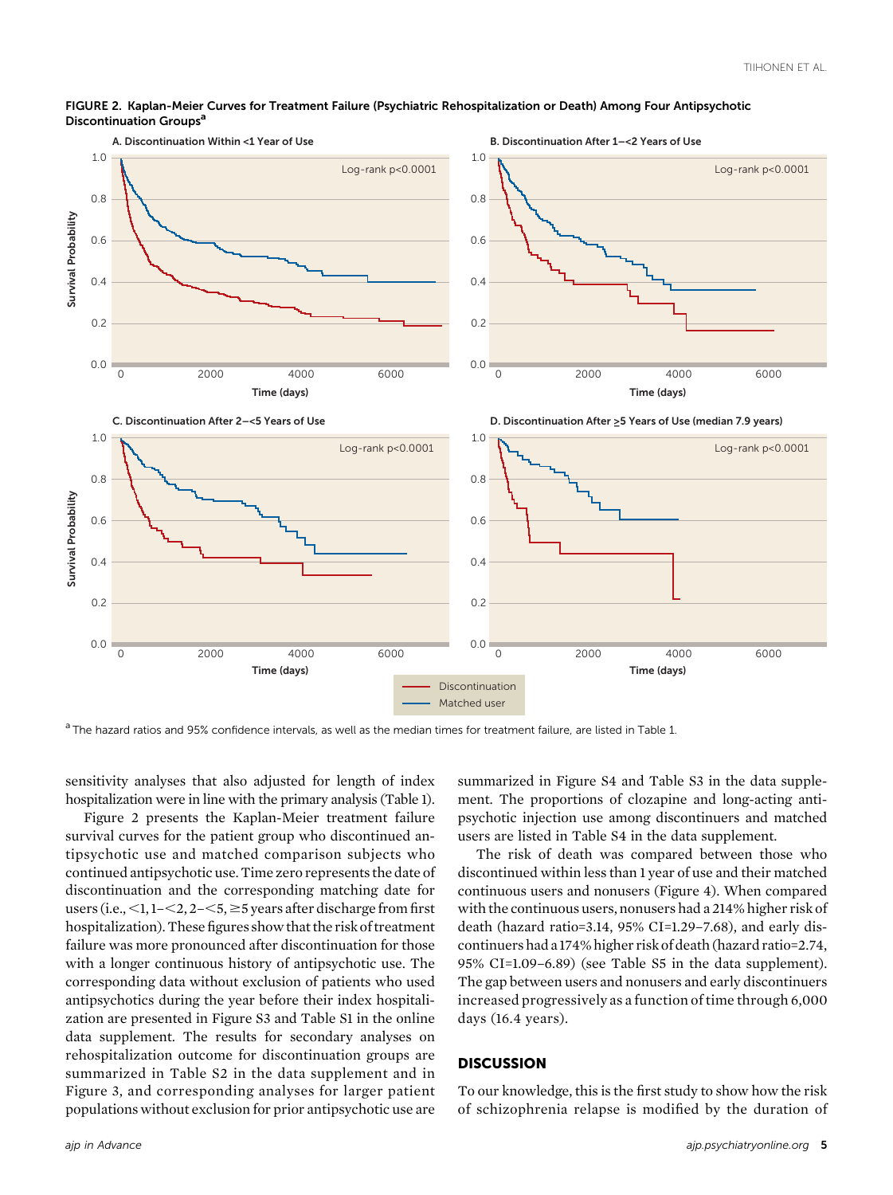



 $a$  The hazard ratios and 95% confidence intervals, as well as the median times for treatment failure, are listed in Table 1.

sensitivity analyses that also adjusted for length of index hospitalization were in line with the primary analysis (Table 1).

Figure 2 presents the Kaplan-Meier treatment failure survival curves for the patient group who discontinued antipsychotic use and matched comparison subjects who continued antipsychotic use.Time zero represents the date of discontinuation and the corresponding matching date for users (i.e.,  $\leq 1, 1-\leq 2, 2-\leq 5, \geq 5$  years after discharge from first hospitalization). These figures show that the risk of treatment failure was more pronounced after discontinuation for those with a longer continuous history of antipsychotic use. The corresponding data without exclusion of patients who used antipsychotics during the year before their index hospitalization are presented in Figure S3 and Table S1 in the online data supplement. The results for secondary analyses on rehospitalization outcome for discontinuation groups are summarized in Table S2 in the data supplement and in Figure 3, and corresponding analyses for larger patient populations without exclusion for prior antipsychotic use are

summarized in Figure S4 and Table S3 in the data supplement. The proportions of clozapine and long-acting antipsychotic injection use among discontinuers and matched users are listed in Table S4 in the data supplement.

The risk of death was compared between those who discontinued within less than 1 year of use and their matched continuous users and nonusers (Figure 4). When compared with the continuous users, nonusers had a 214% higher risk of death (hazard ratio=3.14, 95% CI=1.29–7.68), and early discontinuers had a 174% higher risk of death (hazard ratio=2.74, 95% CI=1.09–6.89) (see Table S5 in the data supplement). The gap between users and nonusers and early discontinuers increased progressively as a function of time through 6,000 days (16.4 years).

## **DISCUSSION**

To our knowledge, this is the first study to show how the risk of schizophrenia relapse is modified by the duration of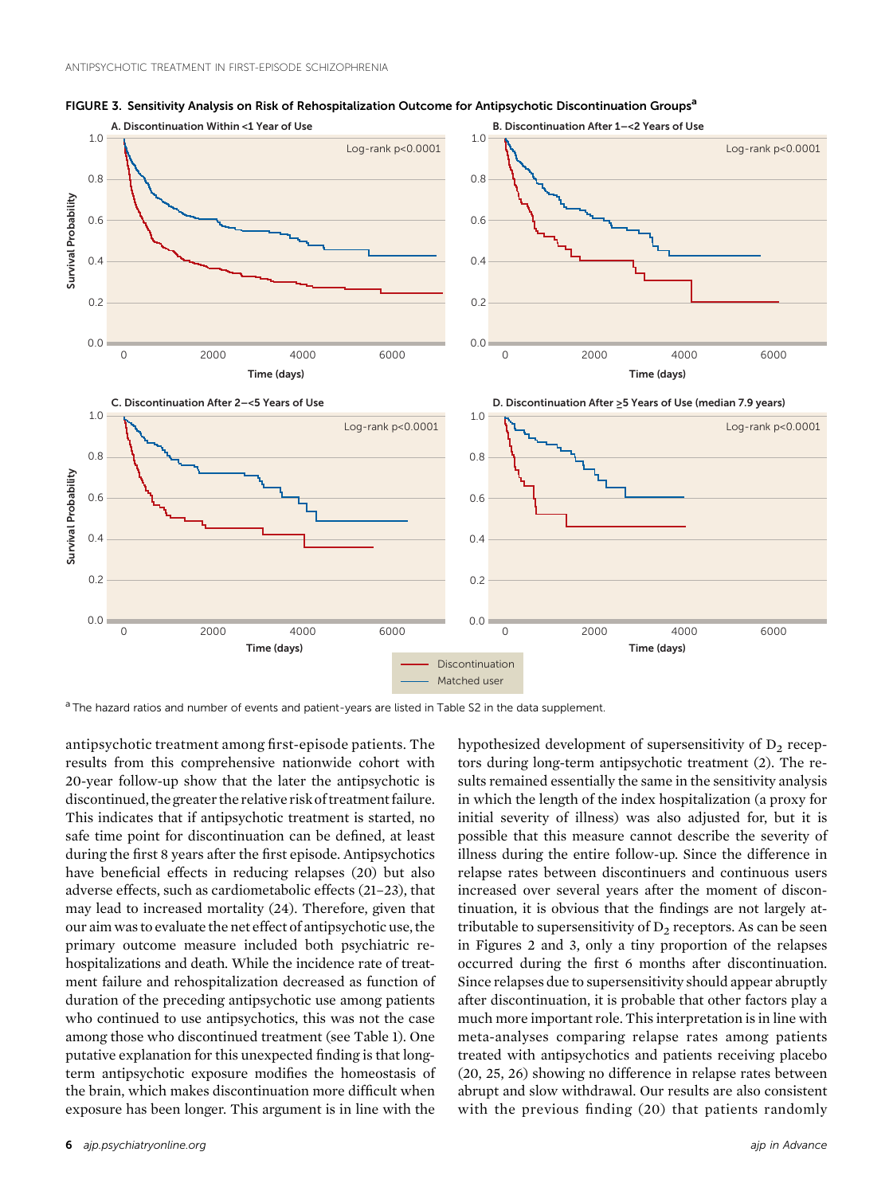

FIGURE 3. Sensitivity Analysis on Risk of Rehospitalization Outcome for Antipsychotic Discontinuation Groups<sup>a</sup>

<sup>a</sup> The hazard ratios and number of events and patient-years are listed in Table S2 in the data supplement.

antipsychotic treatment among first-episode patients. The results from this comprehensive nationwide cohort with 20-year follow-up show that the later the antipsychotic is discontinued, the greater the relative risk of treatment failure. This indicates that if antipsychotic treatment is started, no safe time point for discontinuation can be defined, at least during the first 8 years after the first episode. Antipsychotics have beneficial effects in reducing relapses (20) but also adverse effects, such as cardiometabolic effects (21–23), that may lead to increased mortality (24). Therefore, given that our aim was to evaluate the net effect of antipsychotic use, the primary outcome measure included both psychiatric rehospitalizations and death. While the incidence rate of treatment failure and rehospitalization decreased as function of duration of the preceding antipsychotic use among patients who continued to use antipsychotics, this was not the case among those who discontinued treatment (see Table 1). One putative explanation for this unexpected finding is that longterm antipsychotic exposure modifies the homeostasis of the brain, which makes discontinuation more difficult when exposure has been longer. This argument is in line with the

tors during long-term antipsychotic treatment (2). The results remained essentially the same in the sensitivity analysis in which the length of the index hospitalization (a proxy for initial severity of illness) was also adjusted for, but it is possible that this measure cannot describe the severity of illness during the entire follow-up. Since the difference in relapse rates between discontinuers and continuous users increased over several years after the moment of discontinuation, it is obvious that the findings are not largely attributable to supersensitivity of  $D_2$  receptors. As can be seen in Figures 2 and 3, only a tiny proportion of the relapses occurred during the first 6 months after discontinuation. Since relapses due to supersensitivity should appear abruptly after discontinuation, it is probable that other factors play a much more important role. This interpretation is in line with meta-analyses comparing relapse rates among patients treated with antipsychotics and patients receiving placebo (20, 25, 26) showing no difference in relapse rates between abrupt and slow withdrawal. Our results are also consistent with the previous finding (20) that patients randomly

hypothesized development of supersensitivity of  $D_2$  recep-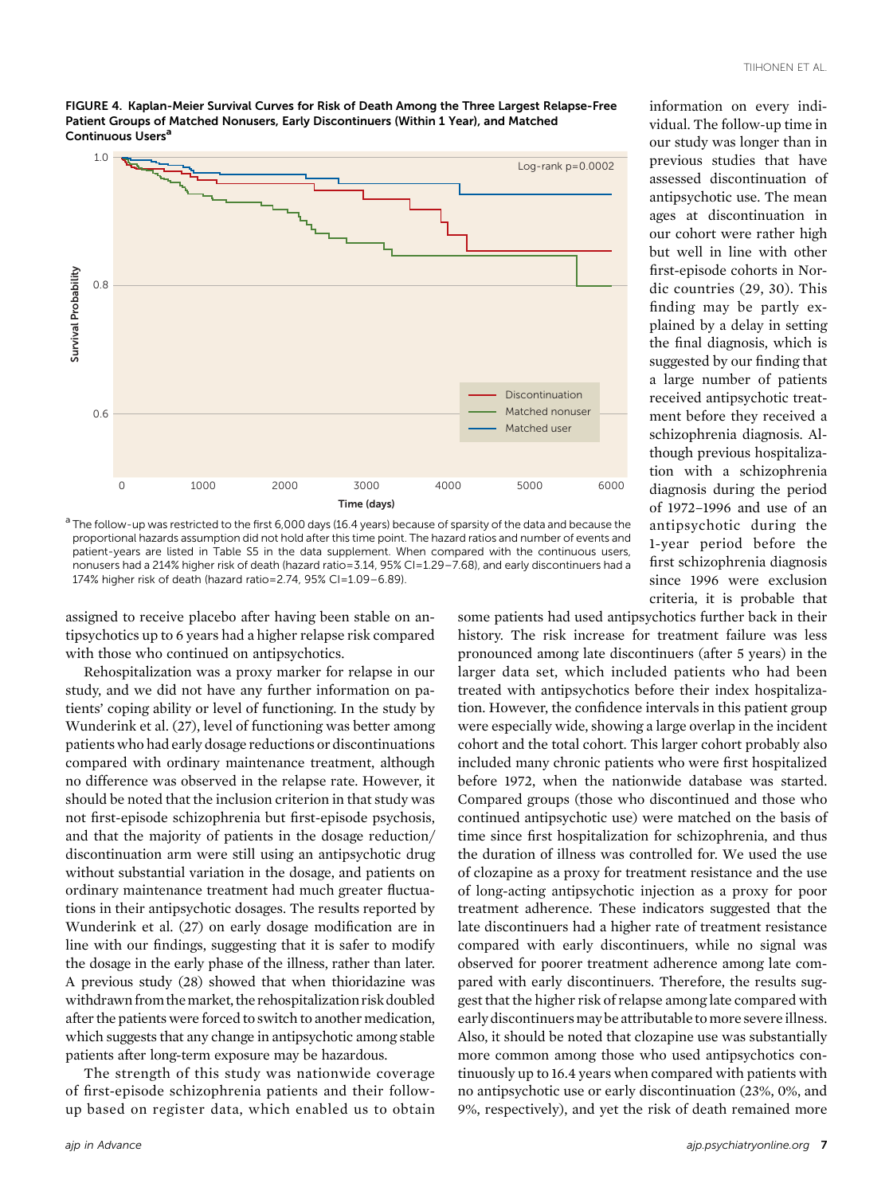information on every individual. The follow-up time in our study was longer than in previous studies that have assessed discontinuation of

FIGURE 4. Kaplan-Meier Survival Curves for Risk of Death Among the Three Largest Relapse-Free Patient Groups of Matched Nonusers, Early Discontinuers (Within 1 Year), and Matched Continuous Users<sup>a</sup>



<sup>a</sup> The follow-up was restricted to the first 6,000 days (16.4 years) because of sparsity of the data and because the proportional hazards assumption did not hold after this time point. The hazard ratios and number of events and patient-years are listed in Table S5 in the data supplement. When compared with the continuous users, nonusers had a 214% higher risk of death (hazard ratio=3.14, 95% CI=1.29–7.68), and early discontinuers had a 174% higher risk of death (hazard ratio=2.74, 95% CI=1.09–6.89).

assigned to receive placebo after having been stable on antipsychotics up to 6 years had a higher relapse risk compared with those who continued on antipsychotics.

Rehospitalization was a proxy marker for relapse in our study, and we did not have any further information on patients' coping ability or level of functioning. In the study by Wunderink et al. (27), level of functioning was better among patients who had early dosage reductions or discontinuations compared with ordinary maintenance treatment, although no difference was observed in the relapse rate. However, it should be noted that the inclusion criterion in that study was not first-episode schizophrenia but first-episode psychosis, and that the majority of patients in the dosage reduction/ discontinuation arm were still using an antipsychotic drug without substantial variation in the dosage, and patients on ordinary maintenance treatment had much greater fluctuations in their antipsychotic dosages. The results reported by Wunderink et al. (27) on early dosage modification are in line with our findings, suggesting that it is safer to modify the dosage in the early phase of the illness, rather than later. A previous study (28) showed that when thioridazine was withdrawn from the market, the rehospitalization risk doubled after the patients were forced to switch to another medication, which suggests that any change in antipsychotic among stable patients after long-term exposure may be hazardous.

The strength of this study was nationwide coverage of first-episode schizophrenia patients and their followup based on register data, which enabled us to obtain

criteria, it is probable that some patients had used antipsychotics further back in their history. The risk increase for treatment failure was less pronounced among late discontinuers (after 5 years) in the larger data set, which included patients who had been treated with antipsychotics before their index hospitalization. However, the confidence intervals in this patient group were especially wide, showing a large overlap in the incident cohort and the total cohort. This larger cohort probably also included many chronic patients who were first hospitalized before 1972, when the nationwide database was started. Compared groups (those who discontinued and those who continued antipsychotic use) were matched on the basis of time since first hospitalization for schizophrenia, and thus the duration of illness was controlled for. We used the use of clozapine as a proxy for treatment resistance and the use of long-acting antipsychotic injection as a proxy for poor treatment adherence. These indicators suggested that the late discontinuers had a higher rate of treatment resistance compared with early discontinuers, while no signal was observed for poorer treatment adherence among late compared with early discontinuers. Therefore, the results suggest that the higher risk of relapse among late compared with early discontinuers may be attributable to more severe illness. Also, it should be noted that clozapine use was substantially more common among those who used antipsychotics continuously up to 16.4 years when compared with patients with no antipsychotic use or early discontinuation (23%, 0%, and 9%, respectively), and yet the risk of death remained more

antipsychotic use. The mean ages at discontinuation in our cohort were rather high but well in line with other first-episode cohorts in Nordic countries (29, 30). This finding may be partly explained by a delay in setting the final diagnosis, which is suggested by our finding that a large number of patients received antipsychotic treatment before they received a schizophrenia diagnosis. Although previous hospitalization with a schizophrenia diagnosis during the period of 1972–1996 and use of an antipsychotic during the 1-year period before the first schizophrenia diagnosis since 1996 were exclusion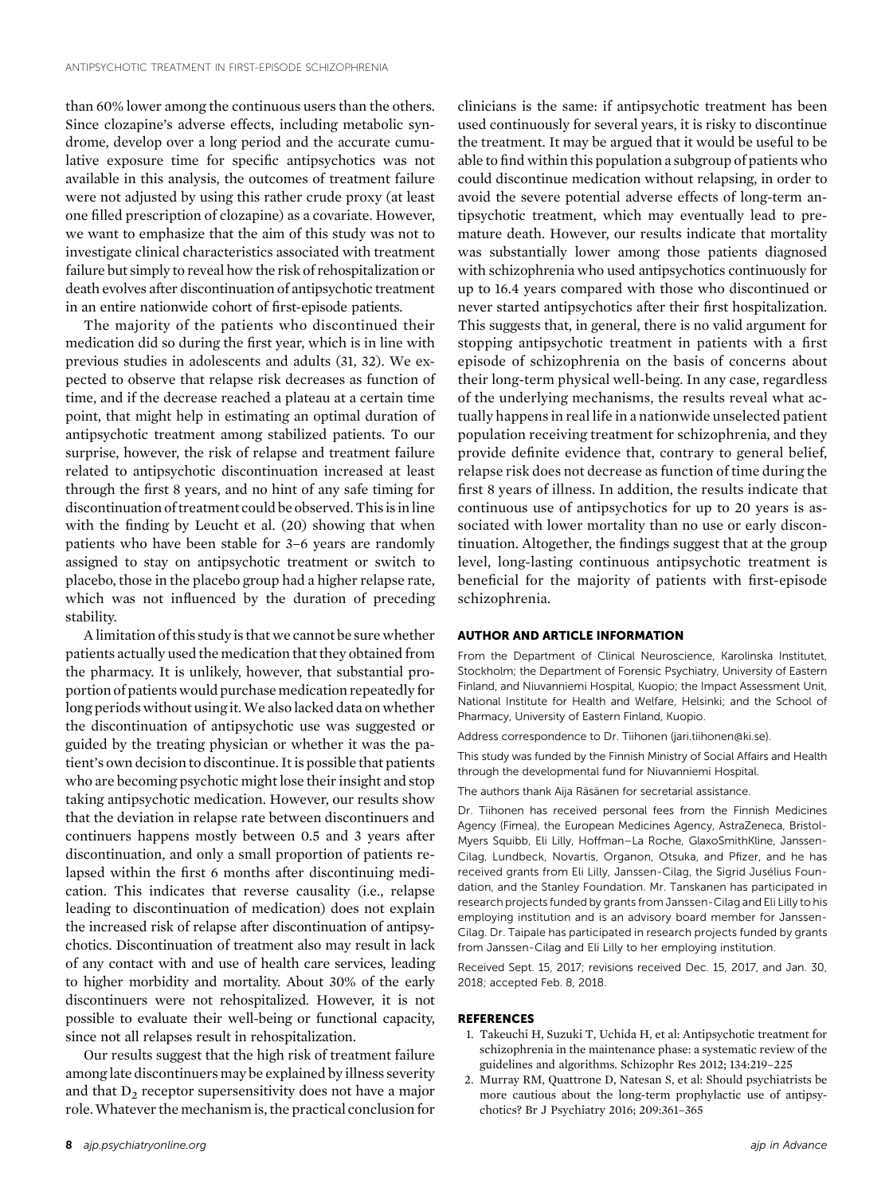than 60% lower among the continuous users than the others. Since clozapine's adverse effects, including metabolic syndrome, develop over a long period and the accurate cumulative exposure time for specific antipsychotics was not available in this analysis, the outcomes of treatment failure were not adjusted by using this rather crude proxy (at least one filled prescription of clozapine) as a covariate. However, we want to emphasize that the aim of this study was not to investigate clinical characteristics associated with treatment failure but simply to reveal how the risk of rehospitalization or death evolves after discontinuation of antipsychotic treatment in an entire nationwide cohort of first-episode patients.

The majority of the patients who discontinued their medication did so during the first year, which is in line with previous studies in adolescents and adults (31, 32). We expected to observe that relapse risk decreases as function of time, and if the decrease reached a plateau at a certain time point, that might help in estimating an optimal duration of antipsychotic treatment among stabilized patients. To our surprise, however, the risk of relapse and treatment failure related to antipsychotic discontinuation increased at least through the first 8 years, and no hint of any safe timing for discontinuation of treatment could be observed. This is in line with the finding by Leucht et al. (20) showing that when patients who have been stable for 3–6 years are randomly assigned to stay on antipsychotic treatment or switch to placebo, those in the placebo group had a higher relapse rate, which was not influenced by the duration of preceding stability.

A limitation of this study is that we cannot be sure whether patients actually used the medication that they obtained from the pharmacy. It is unlikely, however, that substantial proportion of patients would purchase medication repeatedly for long periods without using it.We also lacked data on whether the discontinuation of antipsychotic use was suggested or guided by the treating physician or whether it was the patient's own decision to discontinue. It is possible that patients who are becoming psychotic might lose their insight and stop taking antipsychotic medication. However, our results show that the deviation in relapse rate between discontinuers and continuers happens mostly between 0.5 and 3 years after discontinuation, and only a small proportion of patients relapsed within the first 6 months after discontinuing medication. This indicates that reverse causality (i.e., relapse leading to discontinuation of medication) does not explain the increased risk of relapse after discontinuation of antipsychotics. Discontinuation of treatment also may result in lack of any contact with and use of health care services, leading to higher morbidity and mortality. About 30% of the early discontinuers were not rehospitalized. However, it is not possible to evaluate their well-being or functional capacity, since not all relapses result in rehospitalization.

Our results suggest that the high risk of treatment failure among late discontinuers may be explained by illness severity and that  $D_2$  receptor supersensitivity does not have a major role.Whatever the mechanism is, the practical conclusion for

clinicians is the same: if antipsychotic treatment has been used continuously for several years, it is risky to discontinue the treatment. It may be argued that it would be useful to be able to find within this population a subgroup of patients who could discontinue medication without relapsing, in order to avoid the severe potential adverse effects of long-term antipsychotic treatment, which may eventually lead to premature death. However, our results indicate that mortality was substantially lower among those patients diagnosed with schizophrenia who used antipsychotics continuously for up to 16.4 years compared with those who discontinued or never started antipsychotics after their first hospitalization. This suggests that, in general, there is no valid argument for stopping antipsychotic treatment in patients with a first episode of schizophrenia on the basis of concerns about their long-term physical well-being. In any case, regardless of the underlying mechanisms, the results reveal what actually happens in real life in a nationwide unselected patient population receiving treatment for schizophrenia, and they provide definite evidence that, contrary to general belief, relapse risk does not decrease as function of time during the first 8 years of illness. In addition, the results indicate that continuous use of antipsychotics for up to 20 years is associated with lower mortality than no use or early discontinuation. Altogether, the findings suggest that at the group level, long-lasting continuous antipsychotic treatment is beneficial for the majority of patients with first-episode schizophrenia.

#### AUTHOR AND ARTICLE INFORMATION

From the Department of Clinical Neuroscience, Karolinska Institutet, Stockholm; the Department of Forensic Psychiatry, University of Eastern Finland, and Niuvanniemi Hospital, Kuopio; the Impact Assessment Unit, National Institute for Health and Welfare, Helsinki; and the School of Pharmacy, University of Eastern Finland, Kuopio.

Address correspondence to Dr. Tiihonen ([jari.tiihonen@ki.se\)](mailto:jari.tiihonen@ki.se).

This study was funded by the Finnish Ministry of Social Affairs and Health through the developmental fund for Niuvanniemi Hospital.

The authors thank Aija Räsänen for secretarial assistance.

Dr. Tiihonen has received personal fees from the Finnish Medicines Agency (Fimea), the European Medicines Agency, AstraZeneca, Bristol-Myers Squibb, Eli Lilly, Hoffman–La Roche, GlaxoSmithKline, Janssen-Cilag, Lundbeck, Novartis, Organon, Otsuka, and Pfizer, and he has received grants from Eli Lilly, Janssen-Cilag, the Sigrid Jusélius Foundation, and the Stanley Foundation. Mr. Tanskanen has participated in research projects funded by grants from Janssen-Cilag and Eli Lilly to his employing institution and is an advisory board member for Janssen-Cilag. Dr. Taipale has participated in research projects funded by grants from Janssen-Cilag and Eli Lilly to her employing institution.

Received Sept. 15, 2017; revisions received Dec. 15, 2017, and Jan. 30, 2018; accepted Feb. 8, 2018.

#### **REFERENCES**

- 1. Takeuchi H, Suzuki T, Uchida H, et al: Antipsychotic treatment for schizophrenia in the maintenance phase: a systematic review of the guidelines and algorithms. Schizophr Res 2012; 134:219–225
- 2. Murray RM, Quattrone D, Natesan S, et al: Should psychiatrists be more cautious about the long-term prophylactic use of antipsychotics? Br J Psychiatry 2016; 209:361–365